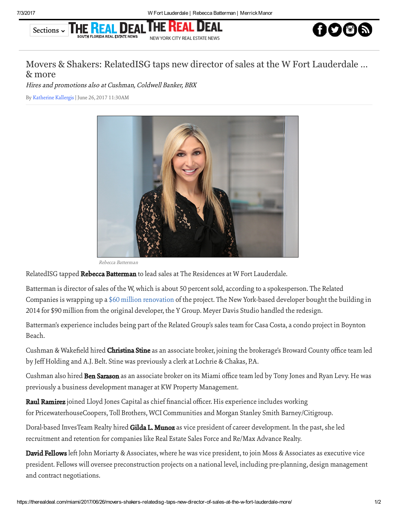## Sections ~ THE REAL D NEW YORK CITY REAL ESTATE NEWS



## Movers & Shakers: RelatedISG taps new director of sales at the W Fort Lauderdale … & more

Hires and promotions also at Cushman, Coldwell Banker, BBX

By [Katherine](https://therealdeal.com/miami/looks/Katherine%20Kallergis/by) Kallergis| June 26, 2017 11:30AM



Rebecca Batterman

RelatedISG tapped Rebecca Batterman to lead sales at The Residences at W Fort Lauderdale.

Batterman is director of sales of the W, which is about 50 percent sold, according to a spokesperson. The Related Companies is wrapping up a \$60 million [renovation](https://therealdeal.com/miami/2017/02/15/first-look-at-the-residences-at-the-w-fort-lauderdale-video/) of the project. The New York-based developer bought the building in 2014 for \$90 million from the original developer, the Y Group. Meyer Davis Studio handled the redesign.

Batterman's experience includes being part of the Related Group's sales team for Casa Costa, a condo project in Boynton Beach.

Cushman & Wakefield hired **Christina Stine** as an associate broker, joining the brokerage's Broward County office team led by Jeff Holding and A.J. Belt. Stine was previously a clerk at Lochrie & Chakas, P.A.

Cushman also hired Ben Sarason as an associate broker on its Miami office team led by Tony Jones and Ryan Levy. He was previously a business development manager at KW Property Management.

Raul Ramirez joined Lloyd Jones Capital as chief financial officer. His experience includes working for PricewaterhouseCoopers, Toll Brothers, WCI Communities and Morgan Stanley Smith Barney/Citigroup.

Doral-based InvesTeam Realty hired Gilda L. Munoz as vice president of career development. In the past, she led recruitment and retention for companies like Real Estate Sales Force and Re/Max Advance Realty.

David Fellows left John Moriarty & Associates, where he was vice president, to join Moss & Associates as executive vice president. Fellows will oversee preconstruction projects on a national level, including pre-planning, design management and contract negotiations.